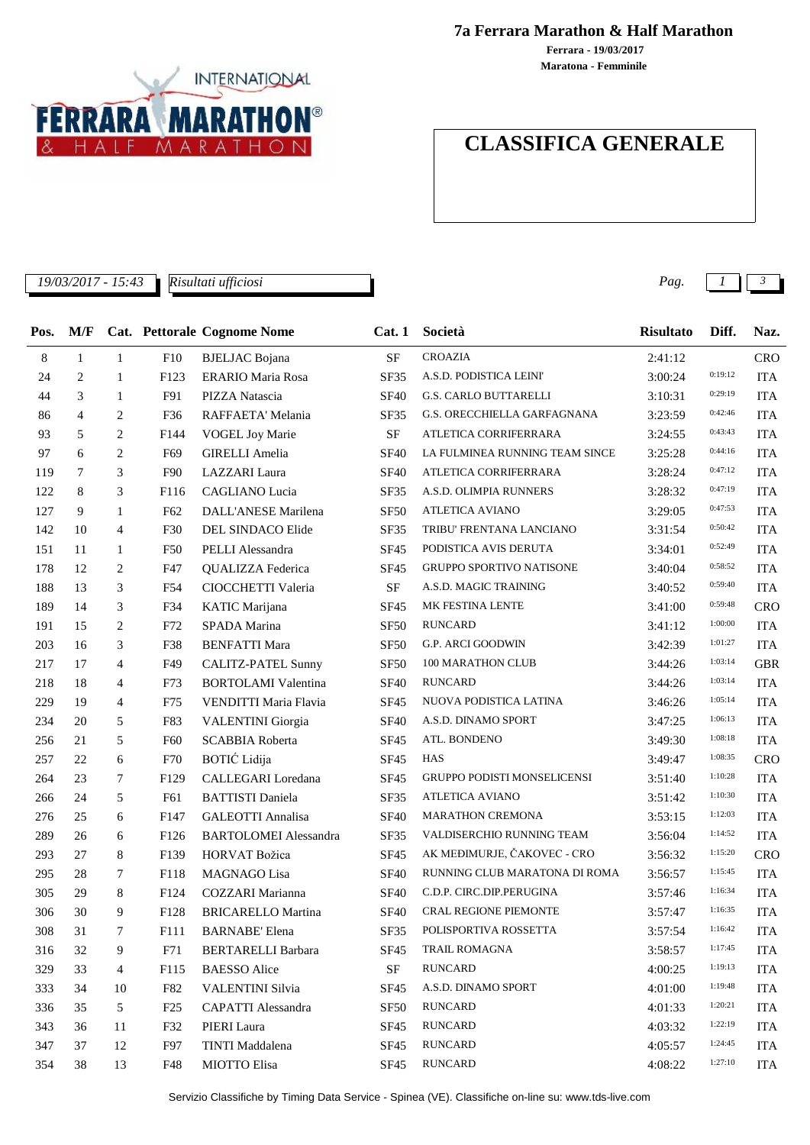

**7a Ferrara Marathon & Half Marathon**

**Maratona - Femminile Ferrara - 19/03/2017**

## **CLASSIFICA GENERALE**

*19/03/2017 - 15:43 Pag. 1 3*

*Risultati ufficiosi*

| Pos. | M/F            |                |                 | Cat. Pettorale Cognome Nome  | Cat.1            | Società                            | <b>Risultato</b> | Diff.   | Naz.       |
|------|----------------|----------------|-----------------|------------------------------|------------------|------------------------------------|------------------|---------|------------|
| 8    | 1              | 1              | F10             | <b>BJELJAC</b> Bojana        | <b>SF</b>        | <b>CROAZIA</b>                     | 2:41:12          |         | <b>CRO</b> |
| 24   | 2              | 1              | F123            | <b>ERARIO Maria Rosa</b>     | SF35             | A.S.D. PODISTICA LEINI'            | 3:00:24          | 0:19:12 | <b>ITA</b> |
| 44   | 3              | 1              | F91             | PIZZA Natascia               | <b>SF40</b>      | G.S. CARLO BUTTARELLI              | 3:10:31          | 0:29:19 | <b>ITA</b> |
| 86   | $\overline{4}$ | 2              | F36             | RAFFAETA' Melania            | SF35             | G.S. ORECCHIELLA GARFAGNANA        | 3:23:59          | 0:42:46 | <b>ITA</b> |
| 93   | 5              | 2              | F144            | <b>VOGEL Joy Marie</b>       | $\rm SF$         | ATLETICA CORRIFERRARA              | 3:24:55          | 0:43:43 | <b>ITA</b> |
| 97   | 6              | 2              | F <sub>69</sub> | <b>GIRELLI</b> Amelia        | <b>SF40</b>      | LA FULMINEA RUNNING TEAM SINCE     | 3:25:28          | 0:44:16 | <b>ITA</b> |
| 119  | 7              | 3              | F90             | <b>LAZZARI</b> Laura         | <b>SF40</b>      | ATLETICA CORRIFERRARA              | 3:28:24          | 0:47:12 | <b>ITA</b> |
| 122  | 8              | 3              | F116            | <b>CAGLIANO</b> Lucia        | SF35             | A.S.D. OLIMPIA RUNNERS             | 3:28:32          | 0:47:19 | <b>ITA</b> |
| 127  | 9              | 1              | F62             | DALL'ANESE Marilena          | <b>SF50</b>      | <b>ATLETICA AVIANO</b>             | 3:29:05          | 0:47:53 | <b>ITA</b> |
| 142  | 10             | 4              | F30             | DEL SINDACO Elide            | SF35             | TRIBU' FRENTANA LANCIANO           | 3:31:54          | 0:50:42 | <b>ITA</b> |
| 151  | 11             | 1              | F50             | PELLI Alessandra             | SF45             | PODISTICA AVIS DERUTA              | 3:34:01          | 0:52:49 | <b>ITA</b> |
| 178  | 12             | 2              | F47             | QUALIZZA Federica            | <b>SF45</b>      | <b>GRUPPO SPORTIVO NATISONE</b>    | 3:40:04          | 0:58:52 | <b>ITA</b> |
| 188  | 13             | 3              | F54             | CIOCCHETTI Valeria           | $\rm SF$         | A.S.D. MAGIC TRAINING              | 3:40:52          | 0:59:40 | <b>ITA</b> |
| 189  | 14             | 3              | F34             | KATIC Marijana               | <b>SF45</b>      | MK FESTINA LENTE                   | 3:41:00          | 0:59:48 | CRO        |
| 191  | 15             | $\overline{c}$ | F72             | SPADA Marina                 | <b>SF50</b>      | <b>RUNCARD</b>                     | 3:41:12          | 1:00:00 | <b>ITA</b> |
| 203  | 16             | 3              | F38             | <b>BENFATTI Mara</b>         | <b>SF50</b>      | G.P. ARCI GOODWIN                  | 3:42:39          | 1:01:27 | <b>ITA</b> |
| 217  | 17             | 4              | F49             | CALITZ-PATEL Sunny           | <b>SF50</b>      | 100 MARATHON CLUB                  | 3:44:26          | 1:03:14 | <b>GBR</b> |
| 218  | 18             | 4              | F73             | <b>BORTOLAMI</b> Valentina   | <b>SF40</b>      | <b>RUNCARD</b>                     | 3:44:26          | 1:03:14 | <b>ITA</b> |
| 229  | 19             | 4              | F75             | VENDITTI Maria Flavia        | <b>SF45</b>      | NUOVA PODISTICA LATINA             | 3:46:26          | 1:05:14 | <b>ITA</b> |
| 234  | 20             | 5              | F83             | <b>VALENTINI</b> Giorgia     | <b>SF40</b>      | A.S.D. DINAMO SPORT                | 3:47:25          | 1:06:13 | <b>ITA</b> |
| 256  | 21             | 5              | F <sub>60</sub> | SCABBIA Roberta              | <b>SF45</b>      | ATL. BONDENO                       | 3:49:30          | 1:08:18 | <b>ITA</b> |
| 257  | 22             | 6              | F70             | <b>BOTIĆ</b> Lidija          | <b>SF45</b>      | HAS                                | 3:49:47          | 1:08:35 | <b>CRO</b> |
| 264  | 23             | 7              | F129            | CALLEGARI Loredana           | <b>SF45</b>      | <b>GRUPPO PODISTI MONSELICENSI</b> | 3:51:40          | 1:10:28 | <b>ITA</b> |
| 266  | 24             | 5              | F61             | <b>BATTISTI</b> Daniela      | SF35             | <b>ATLETICA AVIANO</b>             | 3:51:42          | 1:10:30 | <b>ITA</b> |
| 276  | 25             | 6              | F147            | <b>GALEOTTI</b> Annalisa     | <b>SF40</b>      | <b>MARATHON CREMONA</b>            | 3:53:15          | 1:12:03 | <b>ITA</b> |
| 289  | 26             | 6              | F126            | <b>BARTOLOMEI</b> Alessandra | SF35             | VALDISERCHIO RUNNING TEAM          | 3:56:04          | 1:14:52 | <b>ITA</b> |
| 293  | 27             | 8              | F139            | HORVAT Božica                | <b>SF45</b>      | AK MEĐIMURJE, ČAKOVEC - CRO        | 3:56:32          | 1:15:20 | <b>CRO</b> |
| 295  | 28             | 7              | F118            | MAGNAGO Lisa                 | <b>SF40</b>      | RUNNING CLUB MARATONA DI ROMA      | 3:56:57          | 1:15:45 | <b>ITA</b> |
| 305  | 29             | 8              | F124            | COZZARI Marianna             | <b>SF40</b>      | C.D.P. CIRC.DIP.PERUGINA           | 3:57:46          | 1:16:34 | <b>ITA</b> |
| 306  | 30             | 9              | F128            | <b>BRICARELLO Martina</b>    | <b>SF40</b>      | <b>CRAL REGIONE PIEMONTE</b>       | 3:57:47          | 1:16:35 | <b>ITA</b> |
| 308  | 31             | 7              | F111            | <b>BARNABE' Elena</b>        | SF35             | POLISPORTIVA ROSSETTA              | 3:57:54          | 1:16:42 | ITA        |
| 316  | 32             | 9              | F71             | <b>BERTARELLI Barbara</b>    | <b>SF45</b>      | TRAIL ROMAGNA                      | 3:58:57          | 1:17:45 | <b>ITA</b> |
| 329  | 33             | $\overline{4}$ | F115            | <b>BAESSO</b> Alice          | $\rm SF$         | <b>RUNCARD</b>                     | 4:00:25          | 1:19:13 | <b>ITA</b> |
| 333  | 34             | 10             | F82             | <b>VALENTINI Silvia</b>      | SF <sub>45</sub> | A.S.D. DINAMO SPORT                | 4:01:00          | 1:19:48 | <b>ITA</b> |
| 336  | 35             | 5              | F25             | <b>CAPATTI Alessandra</b>    | <b>SF50</b>      | <b>RUNCARD</b>                     | 4:01:33          | 1:20:21 | <b>ITA</b> |
| 343  | 36             | 11             | F32             | PIERI Laura                  | SF45             | <b>RUNCARD</b>                     | 4:03:32          | 1:22:19 | <b>ITA</b> |
| 347  | 37             | 12             | F97             | TINTI Maddalena              | <b>SF45</b>      | <b>RUNCARD</b>                     | 4:05:57          | 1:24:45 | <b>ITA</b> |
| 354  | 38             | 13             | F48             | MIOTTO Elisa                 | SF45             | <b>RUNCARD</b>                     | 4:08:22          | 1:27:10 | <b>ITA</b> |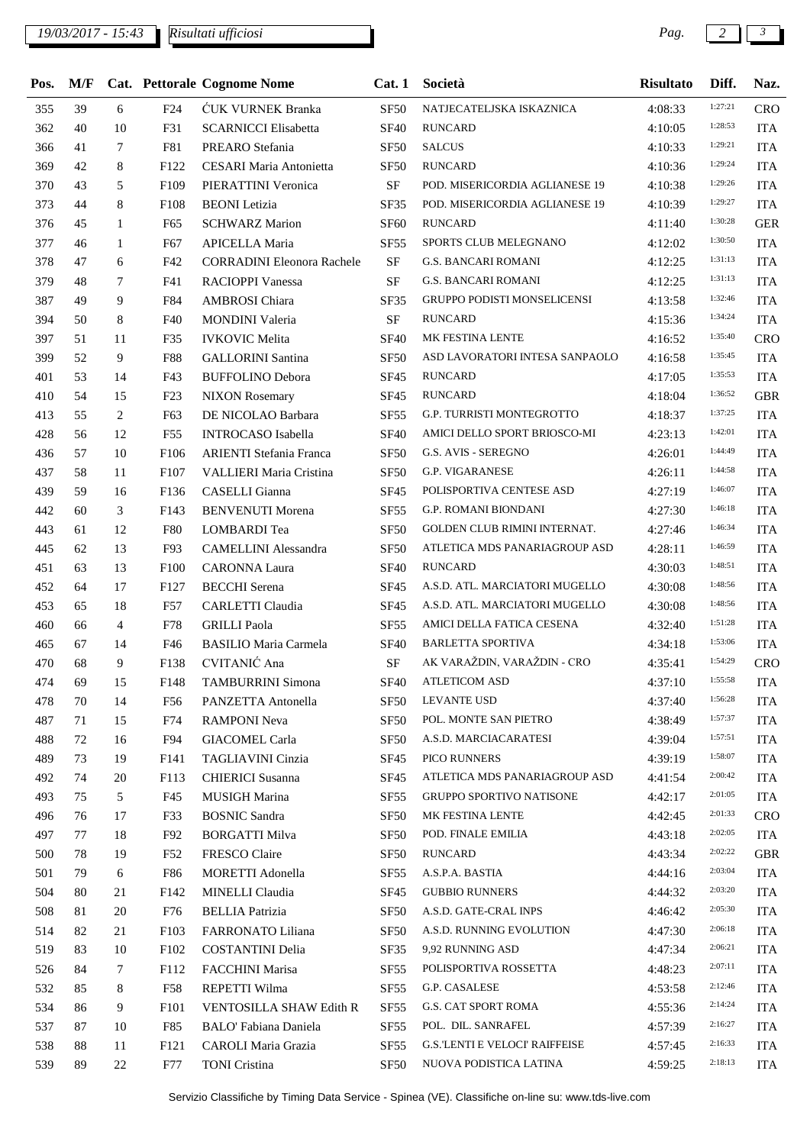## *19/03/2017 - 15:43 Pag. 2 3*

*Risultati ufficiosi*

| Pos. | M/F |              |                  | <b>Cat. Pettorale Cognome Nome</b> | Cat.1            | Società                               | <b>Risultato</b> | Diff.   | Naz.       |
|------|-----|--------------|------------------|------------------------------------|------------------|---------------------------------------|------------------|---------|------------|
| 355  | 39  | 6            | F24              | <b>CUK VURNEK Branka</b>           | <b>SF50</b>      | NATJECATELJSKA ISKAZNICA              | 4:08:33          | 1:27:21 | <b>CRO</b> |
| 362  | 40  | 10           | F31              | <b>SCARNICCI Elisabetta</b>        | <b>SF40</b>      | <b>RUNCARD</b>                        | 4:10:05          | 1:28:53 | <b>ITA</b> |
| 366  | 41  | 7            | F81              | PREARO Stefania                    | SF <sub>50</sub> | <b>SALCUS</b>                         | 4:10:33          | 1:29:21 | <b>ITA</b> |
| 369  | 42  | 8            | F122             | <b>CESARI</b> Maria Antonietta     | <b>SF50</b>      | <b>RUNCARD</b>                        | 4:10:36          | 1:29:24 | <b>ITA</b> |
| 370  | 43  | 5            | F109             | PIERATTINI Veronica                | <b>SF</b>        | POD. MISERICORDIA AGLIANESE 19        | 4:10:38          | 1:29:26 | <b>ITA</b> |
| 373  | 44  | 8            | F108             | <b>BEONI</b> Letizia               | SF35             | POD. MISERICORDIA AGLIANESE 19        | 4:10:39          | 1:29:27 | <b>ITA</b> |
| 376  | 45  | $\mathbf{1}$ | F <sub>65</sub>  | <b>SCHWARZ Marion</b>              | <b>SF60</b>      | <b>RUNCARD</b>                        | 4:11:40          | 1:30:28 | <b>GER</b> |
| 377  | 46  | $\mathbf{1}$ | F <sub>67</sub>  | APICELLA Maria                     | <b>SF55</b>      | SPORTS CLUB MELEGNANO                 | 4:12:02          | 1:30:50 | <b>ITA</b> |
| 378  | 47  | 6            | F42              | <b>CORRADINI Eleonora Rachele</b>  | <b>SF</b>        | <b>G.S. BANCARI ROMANI</b>            | 4:12:25          | 1:31:13 | <b>ITA</b> |
| 379  | 48  | 7            | F41              | <b>RACIOPPI Vanessa</b>            | <b>SF</b>        | <b>G.S. BANCARI ROMANI</b>            | 4:12:25          | 1:31:13 | <b>ITA</b> |
| 387  | 49  | 9            | F84              | AMBROSI Chiara                     | <b>SF35</b>      | <b>GRUPPO PODISTI MONSELICENSI</b>    | 4:13:58          | 1:32:46 | <b>ITA</b> |
| 394  | 50  | 8            | F40              | <b>MONDINI</b> Valeria             | <b>SF</b>        | <b>RUNCARD</b>                        | 4:15:36          | 1:34:24 | <b>ITA</b> |
| 397  | 51  | 11           | F35              | <b>IVKOVIC Melita</b>              | <b>SF40</b>      | MK FESTINA LENTE                      | 4:16:52          | 1:35:40 | <b>CRO</b> |
| 399  | 52  | 9            | <b>F88</b>       | <b>GALLORINI</b> Santina           | <b>SF50</b>      | ASD LAVORATORI INTESA SANPAOLO        | 4:16:58          | 1:35:45 | <b>ITA</b> |
| 401  | 53  | 14           | F43              | <b>BUFFOLINO Debora</b>            | <b>SF45</b>      | <b>RUNCARD</b>                        | 4:17:05          | 1:35:53 | <b>ITA</b> |
| 410  | 54  | 15           | F23              | <b>NIXON</b> Rosemary              | <b>SF45</b>      | <b>RUNCARD</b>                        | 4:18:04          | 1:36:52 | <b>GBR</b> |
| 413  | 55  | 2            | F63              | DE NICOLAO Barbara                 | <b>SF55</b>      | <b>G.P. TURRISTI MONTEGROTTO</b>      | 4:18:37          | 1:37:25 | <b>ITA</b> |
| 428  | 56  | 12           | F <sub>55</sub>  | <b>INTROCASO</b> Isabella          | <b>SF40</b>      | AMICI DELLO SPORT BRIOSCO-MI          | 4:23:13          | 1:42:01 | <b>ITA</b> |
| 436  | 57  | 10           | F106             | <b>ARIENTI Stefania Franca</b>     | <b>SF50</b>      | <b>G.S. AVIS - SEREGNO</b>            | 4:26:01          | 1:44:49 | <b>ITA</b> |
| 437  | 58  | 11           | F107             | <b>VALLIERI Maria Cristina</b>     | SF <sub>50</sub> | <b>G.P. VIGARANESE</b>                | 4:26:11          | 1:44:58 | <b>ITA</b> |
| 439  | 59  | 16           | F136             | CASELLI Gianna                     | <b>SF45</b>      | POLISPORTIVA CENTESE ASD              | 4:27:19          | 1:46:07 | <b>ITA</b> |
| 442  | 60  | 3            | F143             | <b>BENVENUTI Morena</b>            | SF <sub>55</sub> | <b>G.P. ROMANI BIONDANI</b>           | 4:27:30          | 1:46:18 | <b>ITA</b> |
| 443  | 61  | 12           | F80              | LOMBARDI Tea                       | SF <sub>50</sub> | GOLDEN CLUB RIMINI INTERNAT.          | 4:27:46          | 1:46:34 | <b>ITA</b> |
| 445  | 62  | 13           | F93              | <b>CAMELLINI</b> Alessandra        | <b>SF50</b>      | ATLETICA MDS PANARIAGROUP ASD         | 4:28:11          | 1:46:59 | <b>ITA</b> |
| 451  | 63  | 13           | F100             | <b>CARONNA Laura</b>               | <b>SF40</b>      | <b>RUNCARD</b>                        | 4:30:03          | 1:48:51 | <b>ITA</b> |
| 452  | 64  | 17           | F127             | <b>BECCHI</b> Serena               | <b>SF45</b>      | A.S.D. ATL. MARCIATORI MUGELLO        | 4:30:08          | 1:48:56 | <b>ITA</b> |
| 453  | 65  | 18           | F57              | CARLETTI Claudia                   | SF45             | A.S.D. ATL. MARCIATORI MUGELLO        | 4:30:08          | 1:48:56 | <b>ITA</b> |
| 460  | 66  | 4            | F78              | <b>GRILLI Paola</b>                | SF <sub>55</sub> | AMICI DELLA FATICA CESENA             | 4:32:40          | 1:51:28 | <b>ITA</b> |
| 465  | 67  | 14           | F46              | <b>BASILIO Maria Carmela</b>       | <b>SF40</b>      | <b>BARLETTA SPORTIVA</b>              | 4:34:18          | 1:53:06 | <b>ITA</b> |
| 470  | 68  | 9            | F138             | CVITANIĆ Ana                       | $\rm{SF}$        | AK VARAŽDIN, VARAŽDIN - CRO           | 4:35:41          | 1:54:29 | <b>CRO</b> |
| 474  | 69  | 15           | F148             | <b>TAMBURRINI Simona</b>           |                  | SF40 ATLETICOM ASD                    | 4:37:10          | 1:55:58 | <b>ITA</b> |
| 478  | 70  | 14           | F56              | PANZETTA Antonella                 | SF50             | LEVANTE USD                           | 4:37:40          | 1:56:28 | <b>ITA</b> |
| 487  | 71  | 15           | F74              | <b>RAMPONI Neva</b>                | <b>SF50</b>      | POL. MONTE SAN PIETRO                 | 4:38:49          | 1:57:37 | <b>ITA</b> |
| 488  | 72  | 16           | F94              | <b>GIACOMEL Carla</b>              | <b>SF50</b>      | A.S.D. MARCIACARATESI                 | 4:39:04          | 1:57:51 | <b>ITA</b> |
| 489  | 73  | 19           | F141             | TAGLIAVINI Cinzia                  | SF <sub>45</sub> | PICO RUNNERS                          | 4:39:19          | 1:58:07 | <b>ITA</b> |
| 492  | 74  | 20           | F113             | <b>CHIERICI</b> Susanna            | SF <sub>45</sub> | ATLETICA MDS PANARIAGROUP ASD         | 4:41:54          | 2:00:42 | <b>ITA</b> |
| 493  | 75  | 5            | F45              | MUSIGH Marina                      | <b>SF55</b>      | GRUPPO SPORTIVO NATISONE              | 4:42:17          | 2:01:05 | <b>ITA</b> |
| 496  | 76  | 17           | F33              | <b>BOSNIC Sandra</b>               | SF <sub>50</sub> | MK FESTINA LENTE                      | 4:42:45          | 2:01:33 | <b>CRO</b> |
| 497  | 77  | 18           | F92              | <b>BORGATTI Milva</b>              | <b>SF50</b>      | POD. FINALE EMILIA                    | 4:43:18          | 2:02:05 | <b>ITA</b> |
| 500  | 78  | 19           | F52              | FRESCO Claire                      | <b>SF50</b>      | <b>RUNCARD</b>                        | 4:43:34          | 2:02:22 | <b>GBR</b> |
| 501  | 79  | 6            | F86              | MORETTI Adonella                   | SF <sub>55</sub> | A.S.P.A. BASTIA                       | 4:44:16          | 2:03:04 | <b>ITA</b> |
| 504  | 80  | 21           | F <sub>142</sub> | MINELLI Claudia                    | <b>SF45</b>      | <b>GUBBIO RUNNERS</b>                 | 4:44:32          | 2:03:20 | <b>ITA</b> |
| 508  | 81  | 20           | F76              | <b>BELLIA</b> Patrizia             | <b>SF50</b>      | A.S.D. GATE-CRAL INPS                 | 4:46:42          | 2:05:30 | <b>ITA</b> |
| 514  | 82  | 21           | F103             | FARRONATO Liliana                  | SF <sub>50</sub> | A.S.D. RUNNING EVOLUTION              | 4:47:30          | 2:06:18 | <b>ITA</b> |
| 519  | 83  | 10           | F102             | <b>COSTANTINI Delia</b>            | <b>SF35</b>      | 9,92 RUNNING ASD                      | 4:47:34          | 2:06:21 | <b>ITA</b> |
| 526  | 84  | 7            | F112             | FACCHINI Marisa                    | <b>SF55</b>      | POLISPORTIVA ROSSETTA                 | 4:48:23          | 2:07:11 | <b>ITA</b> |
| 532  | 85  | 8            | F58              | REPETTI Wilma                      | SF <sub>55</sub> | G.P. CASALESE                         | 4:53:58          | 2:12:46 | <b>ITA</b> |
| 534  | 86  | 9            | F101             | VENTOSILLA SHAW Edith R            | SF <sub>55</sub> | G.S. CAT SPORT ROMA                   | 4:55:36          | 2:14:24 | <b>ITA</b> |
| 537  | 87  | 10           | F85              | <b>BALO'</b> Fabiana Daniela       | SF55             | POL. DIL. SANRAFEL                    | 4:57:39          | 2:16:27 | <b>ITA</b> |
| 538  | 88  | 11           | F121             | CAROLI Maria Grazia                | SF <sub>55</sub> | <b>G.S. LENTI E VELOCI' RAIFFEISE</b> | 4:57:45          | 2:16:33 | <b>ITA</b> |
| 539  | 89  | 22           | F77              | <b>TONI</b> Cristina               | <b>SF50</b>      | NUOVA PODISTICA LATINA                | 4:59:25          | 2:18:13 | <b>ITA</b> |
|      |     |              |                  |                                    |                  |                                       |                  |         |            |